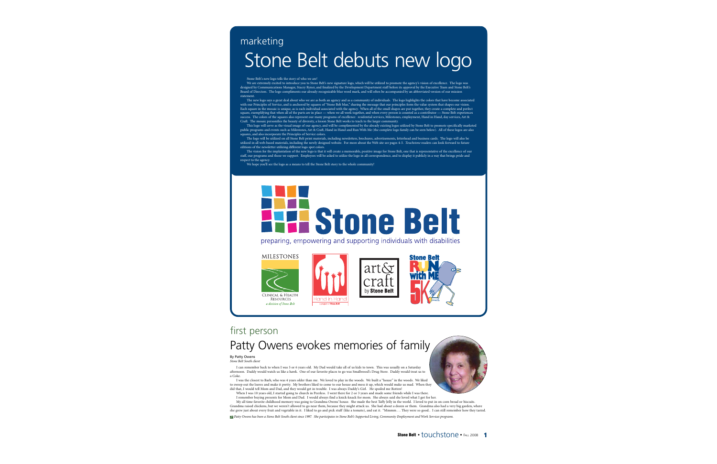# Stone Belt debuts new logo marketing

Stone Belt's new logo tells the story of who we are!<br>We are extremely excited to introduce you to Stone Belt's new signature logo, which will be utilized to promote the agency's vision of excellence. The logo was<br>elesigned Board of Directors. The logo compliments our already-recognizable blue word mark, and will often be accompanied by an abbreviated version of our mission statement.

The new logo says a great deal about who we are as both an agency and as a community of individuals. The logo highlights the colors that have become associated with our Principles of Service, and is anchored by squares of "Stone Belt blue," sharing the message that our principles form the value system that shapes our vision. Each square in the mosaic is unique, as is each individual associated with the agency. When all of the small shapes are put together, they create a complete and perfect square, exemplifying that when all of the parts are in place — when we all work together, and when every person is counted as a contributor — Stone Belt experiences<br>success. The colors of the squares also represent our man Craft. The mosaic personifies the beauty of diversity, a lesson Stone Belt works to teach to the larger community.

This logo will serve as the visual image of our agency, and will be complimented by the already existing logos utilized by Stone Belt to promote specifically marketed public programs and events such as Milestones, Art & Craft, Hand in Hand and Run With Me (the complete logo family can be seen below). All of these logos are also squares, and also incorporate the Principles of Service colors.

The logo will be utilized on all Stone Belt print materials, including newsletters, brochures, advertisements, letterhead and business cards. The logo will also be utilized in all web-based materials, including the newly designed website. For more about the Web site see pages 4-5. *Touchstone* readers can look forward to future editions of the newsletter utilizing different logo spot colors.

The vision for the implantation of the new logo is that it will create a memorable, positive image for Stone Belt, one that is representative of the excellence of our staff, our programs and those we support. Employees will be asked to utilize the logo in all correspondence, and to display it publicly in a way that brings pride and respect to the agency.

We hope you'll see the logo as a means to tell the Stone Belt story to the whole community!

# **Stone Belt**

preparing, empowering and supporting individuals with disabilities

# **MILESTONES**











# first person Patty Owens evokes memories of family

# By Patty Owens

*Stone Belt South client*

I can remember back to when I was 5 or 6 years old. My Dad would take all of us kids to town. This was usually on a Saturday afternoon. Daddy would watch us like a hawk. One of our favorite places to go was Smallwood's Drug Store. Daddy would treat us to a Coke.

I was the closest to Barb, who was 4 years older than me. We loved to play in the woods. We built a "house" in the woods. We liked to sweep out the leaves and make it pretty. My brothers liked to come to our house and mess it up, which would make us mad. When they did that, I would tell Mom and Dad, and they would get in trouble. I was always Daddy's Girl. He spoiled me Rotten!

When I was 10 years old, I started going to church in Peerless. I went there for 2 or 3 years and made some friends while I was there.

I remember buying presents for Mom and Dad. I would always find a knick-knack for mom. She always said she loved what I got for her.

My all time favorite childhood memory was going to Grandma Owens' house. She made the best Taffy Jelly in the world. I loved to put in on corn bread or biscuits. Grandma raised chickens, but we weren't allowed to go near them, because they might attack us. She had about a dozen or them. Grandma also had a very big garden, where she grew just about every fruit and vegetable in it. I liked to go and pick stuff (like a tomato), and eat it. "Mmmm…. They were so good.. I can still remember how they tasted.

*Patty Owens has been a Stone Belt South client since 1997. She participates in Stone Belt's Supported Living, Community Employment and Work Services programs.* >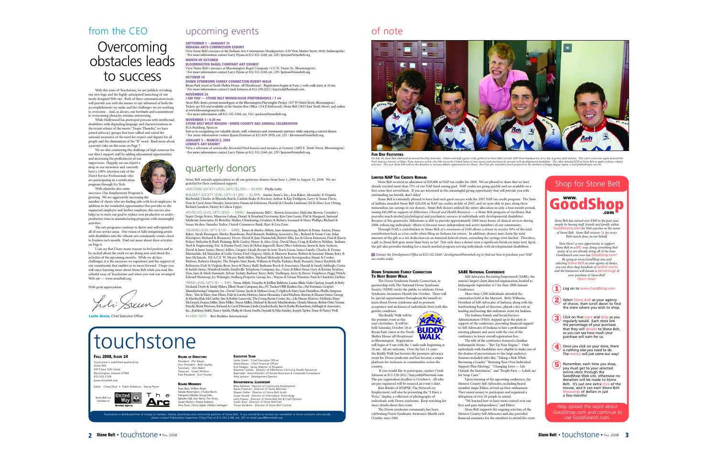# from the CEO

# **Overcoming** obstacles leads to success

With this issue of Touchstone, we are publicly revealing our new logo and the highly anticipated launching of our newly designed Web site. Both of these communication tools will provide you with the means to stay informed of both the accomplishments we make and the challenges we are working to overcome. And, as always, our fortitude and commitment to overcoming obstacles remains unwavering.

While Hollywood has portrayed persons with intellectual disabilities with degrading language and characterizations in the recent release of the movie "Tropic Thunder," we have joined advocacy groups that have rallied and raised the national awareness of the need for respect and dignity for all people and the elimination of the "R" word. Read more about a paren<sup>t</sup>'s take on this issue on Page 7.

We are also countering the challenge of high turnover for our direct support staff by adding educational opportunities and increasing the proficiencies of our supervisors. Happily, we can report a

drop in our turnovere and currently have a 100% retention rate of the Direct Service Professionals who are participating in a certification program through Ivy Tech. With obstacles also come

successes. Our Employment Program is

growing. We are aggressively increasing the number of clients who are finding jobs with local employers. In addition to the wonderful opportunities this provides to the supported employee and his/her employer, this success also helps us to meet our goal to replace non-productive or underproductive time in manufacturing programs with meaningful activities.

The arts programs continue to thrive and will expand to all of our service areas. Our vision of fully integrating artists with disabilities into the vibrant arts community comes closer to fruition each month. Find out more about these activities on Page 6.

I can say that I have many reasons to feel positive and to be excited about the work we are doing now and about the activities of the upcoming months. While we do face challenges, it is the successes we experience and the support of our constituents that enables us to move forward. I hope you will enjoy learning more about Stone Belt while you read this colorful issue of Touchstone and when you visit our revamped Web site — www.stonebelt.org.

With great appreciation

holi Sum

**Leslie Green, Chief Executive Officer** 

# upcoming events

### **SEPTEMBER 1 – JANUARY 31 INDIANA ARTS COMMISSION EXHIBIT**

View Stone Belt's mosaics at the Indiana Arts Commission Headquarters (150 West Market Street, #618, Indianapolis). • For more information contact Larry Pejeau at 812-332-2168, ext. 229 / lpejeau@stonebelt.org. **MONTH OF OCTOBER**

### **BLOOMINGTON BAGEL COMPANY ART EXHIBIT**

View Stone Belt's mosaics at Bloomington Bagel Company (113 N. Dunn St., Bloomington). • For more information contact Larry Pejeau at 812-332-2168, ext. 229 / lpejeau@stonebelt.org. **OCTOBER 18**

### **DOWN SYNDROME FAMILY CONNECTION BUDDY WALK**

Bryan Park (meet at North Shelter House off Henderson). Registration begins at 9 am, 1-mile walk starts at 10 am. • For more information contact Cyndi Johnson at 812-339-2012 / kajcyndij@hotmail.com. **NOVEMBER 24**

### **I AM YOU — STONE BELT MONOLOGUE PERFORMANCE / 7 PM**

Stone Belt clients present monologues at the Bloomington Playwrights Project (107 W Ninth Street, Bloomington).<br>Tickets are \$10 and available at the Sunrise Box Office (114 E Kirkwood), Stone Belt (2815 East Tenth Street) at www.bloomingtonarts.info.

• For more information call 812-332-2168, ext. 314 / ajackson@stonebelt.org.

# **NOVEMBER 1 / 6:30 PM**

### **STONE BELT WEST REGION / OWEN COUNTY ARC ANNUAL CELEBRATION** IGA Building, Spencer

Join us in recognizing our valuable clients, staff, volunteers and community partners while enjoying a catered dinner. • For more information contact Karen Freeman at 812-829-3978, ext. 225 / kfreeman@stonebelt.org. **JANUARY 5 – MARCH 2, 2009**

### **LENNIE'S ART EXHIBIT**

View a selection of artistically decorated bird houses and mosaics at Lennies (1805 E. Tenth Street, Bloomington). • For more information contact Larry Pejeau at 812-332-2168, ext. 229 / lpejeau@stonebelt.org. **FUN DAY FESTIVITIES**

# quarterly donors

Stone Belt extends appreciation to all our generous donors from June 1, 2008 to August 31, 2008. We are grateful for their continued support.

LIMESTONE SOCIETY LEVEL GIFTS (\$2,500 — \$4,999): Phyllis Little.

BUILDER'S SOCIETY LEVEL GIFTS (\$1,000 — \$2,499): Auntie Anne's, Inc.; Lisa Baker; Alexander & Virginia Buchwald; Charles & Rhonda Burch; Carlisle Brake & Friction; Arthur & Kay Dahlgren; Larry & Susan Davis; Don & Carol Anne Hossler; Innovative Financial Solutions; Harold & Claudia Lindman; Ed & Mary Lou Otting; Richard Sanders; Henry & Celicia Upper.

ADVOCATE LEVEL GIFTS (\$500 — \$999): Anonymous; Bill C. Brown Associates; Malcolm Brown; Crowder's Super Drugs Stores; Maureen Gahan; Daniel & Rosalind Gerstman; Ken Gros Louis; Phil & Margaret; Internal Medicine Associates; JA Benefits; Mallor, Clendening, Grodner, & Bohrer; Leonard & Mary Phillips; Richard & Susan Stryker; Saundra Taylor; United Commerce Bank; Kurt & Lisa Zorn.

STEWARD LEVEL GIFTS (\$100 — \$499): James & Shirley Abbitt; Ann Armstrong; Robert & Penny Austin; Diana Baker; Sarah Baumgart; Shirley Boardman; Basil Bennett; Building Associates, Inc.; Roland & Susan Cote; John Davenport; Richard & Rosemary Dever; David & Jane Dunatchik; Robert Ellis; Joe & Gloria Emerson; Paul & Karen Ficker; Malcolm & Ruth Fleming; Beth Gazley; Henry & Alice Gray; David Haas; Craig & Kathryn Holden; Indiana Steel & Engineering; Eric & Emma Ford; Gary & Helen Ingersoll; Ikon Office Solutions; Jason & Amy Jackson; David & Janet James; Sherry Jeffers; Gregory Lloyd; Bryant & Amy Travis Lucas; Janice Lundy; Charles & Donna Martindale; Ed Maxedon & Leslie Green; Fred Gregory; Miles & Marjorie Kanne; Robert & Suzanne Mann; Jerry & Jane McIntosh; P.E.A.C.E. W. Meyer; Ruth Miller; Michael Molenda & Janet Stavropoulos; Stuart & Cookie Mufson; Roberta Murphy; The Peoples State Bank; William & Phyllis Perkins; Rudy Pozzatti; Nancy Rayfield; Jill Robinson; Dick & Virginia Rose; Jerry & Nancy Ruff; Ruthann Berck & Associates; Harold & Sandy Sabbagh; Curtis & Judith Simic; Winifred Smith; Smithville Telephone Company, Inc.; Gene & Ellen Stern; Gary & Kristin Stratten; Don, Jane & Mark Summitt; Sylvan Tackitt; Barbara Terry; Betty Turflinger; Jerry & Sherry Umphress; Peggy Welch; Edward Wenstrup, Jr.; Wininger, Stolberg Property Group, Inc.; Wayne & Vivian Winston; Paul & Charlotte Zietlow.

FRIEND LEVEL GIFTS (\$1 — \$99): Venus Abbitt; Timothy & JoEllen Baldwin; Louise Blish; Vada Clayton; Joseph & Betty Deckard; Doyle & Sandy Ehlers; Elliott Stone Company, Inc,; FC Tucker/OBR Realtors Inc.; Pat Freeman; Gosport Manufacturing Company, Inc.; David Greene; Jacob & Melissa Gross; J. Ogden & Mary Joan Hamilton; Phyllis Simpson Herr; Tim & Mary Ann Hines; Dale & Loretta Horton; Aaron Houssian; Carol Hudson; Burton & Eleanor Jones; George & Martha Kuh-McCarthy; Jim & Kathie Lazerwitz; The Living Room Center, Inc.; Lila Massa; Florence McBride; Mary McGrayel; Donna Miller; Kim Miller; Teresa Miller; Michael & Beverly Muehlenbein; Glenda Murray; Robert Pate; Vonnie Peischl; Brent Peterson; Richard & Carol Pittman; Linda Quackenbush; Jim & Kathy Richardson; Sabbagh & Associates, Inc.; Kathleen Sideli; Nancy Smith; Philip & Gloria Smith; Donald & Nila Sunday; Joseph Taylor; Dane & Nancy Woll.

IN-KIND GIFTS: Best Buddies International.

# touchstone

# **FALL 2008, ISSUE 24**

Touchstone is published quarterly by Stone Belt 2815 East 10th Street oomington, Indiana 47408 812.332.2168 www.stonebelt.org

Editor: Cheryl Paul • Public Relations: Stacey Ryner



# **BOARD OF DIRECTORS**

President: Phil Meyer Vice President: Beth Gazley Secretary: Vicki Baker Secretary: View Suites Past President: Don Hossle

# **BOARD MEMBERS**

Ryan Bass, William Beyer,<br>Natalie Brewington, Charles Burch, Margaret Gilbride, Doug Giles, Babette Hall, Dan Harris, Tim Hines, Stuart Mufson, Patrick Robbins,<br>Amy Travis, Henry Upper, William Verhagen.

**EXECUTIVE TEAM** Leslie Green: Chief Executive Officer Ward Brown: Chief Financial Officer

Kim Hodges: Senior Director of Programs<br>Maureen Gahan: Director of Milestones Clinical & Health Resources<br>Brad Galin: Senior Director of Human Resources & Corporate Compliance Amy Jackson: Development Director

### **DEPARTMENTAL LEADERSHIP**

Bitta DeWees: Director of Community Employment Karen Freeman: Director of Stone Belt East Shawn Halter: Director of Stone Belt South Susan Hoard: Director of Information Technology Larry Pejeau: Director of Stone Belt Art & Craft Division Susan Russ: Director of Stone Belt East Tonya Vandivier: Director of Stone Belt Central

Touchstone is distributed free of chamiles, friends, businesses and community partners of Stone Belt. If you would business of Stone Belt. If you would, businesses and community partners of Stone Belt. If you would, ould

# of note



TOW DAT TESTIVITIES<br>On July 29, Stone Bel celebrated its annual Fun Day festivities. Clients and staff, agency-wide, gathered at Stone Belt Central's 10th Street headquarters for a day of games, food and fun. This year's e Push Ameria, Journey of Hope, Trans America cycliss who buke arous the United States of the mass of proposes or persons with developmental disabilities. This read as on and \$750 to Stone Kinded and the members of Kappa Kap

## **LIMITED NAP TAX CREDITS REMAIN**

Stone Belt received an allocation of \$20,800 in NAP tax credits for 2008. We are pleased to share that we have already reached more than 75% of our NAP fund-raising goal. NAP credits are going quickly and are available on a first come-first served basis. If you are interested in this meaningful giving opportunity that will provide you with outstanding tax benefit, don't delay!

Stone Belt is extremely pleased to have had such great success with the 2007 NAP tax credit program. The State of Indiana awarded Stone Belt \$20,500 in NAP tax credits in July of 2007, and we were able to pass along these tremendous tax savings to our donors. Stone Belt donors utilized the entire allocation in only a four month period, raising \$41,000 in support of *Milestones, Clinical and Health Resources* — a Stone Belt program of excellence that provides much needed psychological and psychiatric services to individuals with developmental disabilities. Because of this generosity, Milestones is able to provide approximately 2000 more hours of clinical services during 2008, enhancing individuals' efforts to become more independent and active members of our community.

Through NAP, a contribution to Stone Belt *of a minimum of \$100* allows a donor to receive 50% of the total contribution back as a tax credit when filing an Indiana tax return. In addition, donors may claim the total amount of the gift as a tax deduction on an itemized federal return, extending the savings even further. Therefore, a gift to Stone Belt goes more than twice as far! Not only does a donor earn a significant break on taxes next April, the gift also provides funding for a much-needed program serving individuals with developmental disabilities.

*Contact the Development Office at 812-332-2168 / development@stonebelt.org to find out how to purchase your NAP* > *tax credits today.*

### **DOWN SYNDROME FAMILY CONNECTION TO HOST BUDDY WALK**

The Down Syndrome Family Connection, in partnership with The National Down Syndrome Society (NDSS) invite the public to celebrate Down Syndrome Awareness Month this October. There will be special opportunities throughout the month to learn about Down syndrome and to promote acceptance and inclusion of individuals born with this

The Buddy Walk will be the premier event at this year's festivities. It will be held Saturday, October 18 at Bryan Park (meet at the North

**BUDD** 

10 am. All are welcome. Over the last 13-years the Buddy Walk has become the premiere advocacy event for Down syndrome and has become a major

Johnson at 812-339-2012 / kajcyndij@hotmail.com. The pre-registration deadline is October 6. All who are pre-registered will be ensured an event t-shirt.

Employment, will also be presenting the "I Have a Voice," display, a collection of photographs of

The Down syndrome community has been celebrating Down Syndrome Awareness Month each

# **SABE NATIONAL CONFERENCE**

Self-Advocates Becoming Empowered (SABE), the nation's largest client directed organization, headed to Indianapolis September 4-7 for their 2008 Annual Conference.

More than 1,500 individuals attended the convention held at the Marriott. Betty Williams, President of Self-Advocates of Indiana; along with the hardworking board of directors, played a key role in landing and hosting this milestone event for Indiana.

The Indiana Family and Social Services Administration (FSSA) stepped up to the plate in support of the conference, providing financial support to Self-Advocates of Indiana to hire a professional meeting planner and assist with the cost of the conference to lower overall registration fees.

The title of the conference featured a familiar Indianapolis theme – "Rev Up Your Engine." Only individuals with disabilities were eligible to make one of the dozens of presentations to this large audience. Sessions included titles like, "Taking a Risk While Becoming a Leader,""Running Your Own Individual Support Plan Meeting," "Changing Lives — Life Outside the Institution," and "People First — Labels are for Soup Cans."

Upon learning of the upcoming conference, the Monroe County Self-Advocates, including board member Angie Ehlers, revved up their enthusiasm. They raised money to participate and organized a delegation of over 20 people to attend. "We learned how to have more control over our

lives and gain independence," said Ehlers. Stone Belt supports the ongoing activities of the

Monroe County Self-Advocates and also provided financial assistance for the members to attend the event.

# Shop for Stone Belt

# **GoodShop www. .com**

*Stone Belt has earned over \$300 in the past year, simply by having staff, friends and family utilize* arch.com for Web searches in the name *of Stone Belt. Stone Belt receives* 1¢ *for every Web search done on our behalf.*

*Now there's a new opportunity to support Stone Belt in a* BIG *way, doing something that many of us are already doing all of the time. GoodSearch.com now has* GoodShop.com! *By going to www.GoodShop.com and selecting* Stone Belt *as your agency of choice, you can then shop hundreds of* online stores *and the businesses will donate a* percentage *of your purchase to Stone Belt!*  Here's how:

# **1** Log on to www.GoodShop.com

**2** Select Stone Belt as your agency<br>of choice, then scroll down to find the store where you wish to shop.

**3** Click on that store and shop as you regularly would. Each store lists the percentage of your purchase that they will donate to Stone Belt, so you can see how much your purchase will earn for us.

**4** Once you click on your store, there is nothing else you need to do. The money will just come our way!

**<sup>5</sup>** Remember, each time you shop, you must get to your selected online store through the GoodShop Web site, otherwise no donation will be made to Stone Belt. It's just one extra click of the mouse, and it can earn Stone Belt thousands of dollars in just a few months!

Help spread the word about GoodShop.com and continue to use GoodSearch.com.

genetic condition.

Shelter House off Henderson) in Bloomington. Registration will begin at 9 am with the 1-mile walk beginning at

platform for inclusion in communities across the country. If you would like to participate, contact Cyndi

Kim Rienks of INAPSE, The Network on

individuals with Down syndrome. Keep watching for more details about this event.

October since 1981.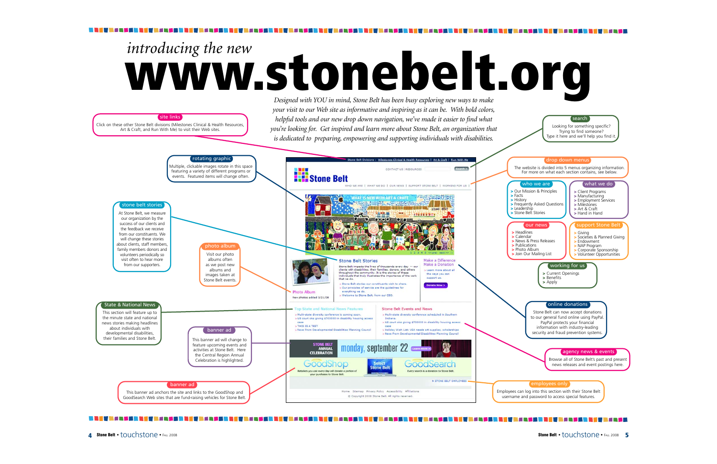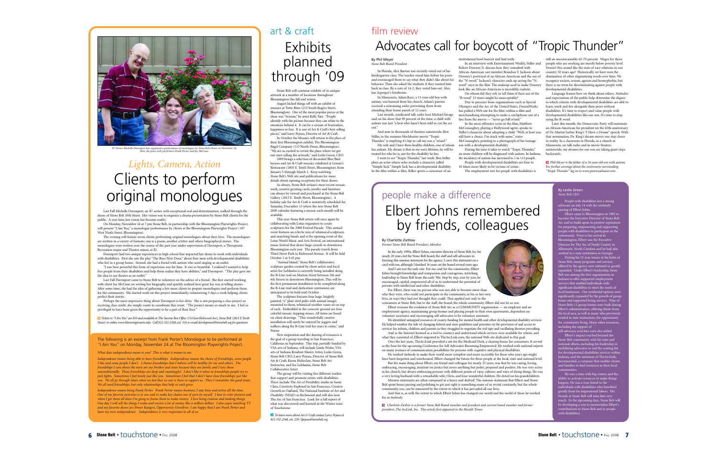

*IU Senior Michelle Davenport has organized a performance of monologues by Stone Belt clients on November 24. Here she poses with performers Frank Porter and Joy McCune.*

# *Lights, Camera, Action* Clients to perform original monologues

Last Fall Michelle Davenport, an IU senior with exceptional zeal and determination, walked through the doors of Stone Belt 10th Street. Her vision was to organize a drama presentation by Stone Belt clients for the public. A year later, her vision has become reality.

On Monday, November 24 at 7 pm Stone Belt, in partnership with the Bloomington Playwrights Project, will present "I Am You," a monologue performance by clients at the Bloomington Playwrights Project (107 West Ninth Street, Bloomington).

The evening will feature seven clients performing original monologues about their lives. The monologues are written in a variety of formats; one is a poem, another a letter and others biographical stories. The monologues were written over the course of the past year under supervision of Davenport, a Therapeutic Recreation major and Theater minor, at IU.

Davenport had two unique experiences in high school that impacted her desire to work with individuals with disabilities. First she saw the play "The Boys Next Door," about four men with developmental disabilities who live in a group home. Second, she had a friend with autism who used singing as an outlet.

"I saw how powerful this form of expression was for him. It was so beautiful. I realized I wanted to help free people from their disabilities and help them realize they have abilities," said Davenport. "The play gave me the idea to use theater as an outlet."

Last Fall Davenport came to Stone Belt to volunteer on the advice of a friend. She first started working with client Joy McCune on writing her biography and quickly realized how great Joy was at telling stories. After some time, she had the idea of gathering a few more clients to prepare monologues and perform them for the community. She started work on this project immediately, volunteering 3 days a week helping clients perfect their stories.

Perhaps the most impressive thing about Davenport is her drive. She is not preparing a class project or receiving class credit, she simply wants to coordinate this event. "The project means so much to me. I feel so privileged to have been given the opportunity to be a part of their lives."

*Tickets to "I Am You" are \$10 and available at The Sunrise Box Office (114 East Kirkwood Ave), Stone Belt (2815 E Tenth* > *Street) or online www.bloomingtonarts.info. Call 812-332-2168, ext. 314 or email development@stonebelt.org for questions.*

# The following is an excerpt from Frank Porter's Monologue to be performed at "I Am You" on Monday, November 24 at The Bloomington Playwrights Project.

*What does independence mean to you? This is what it means to me:*

*Independence means being able to have friendships. Independence means the choice of friendships, some people I like and some people I don't. I choose friendships that I believe will be healthy for me and others. The friendships I care about the most are my brother and sister because they are family and I love them unconditionally. These friendships are deep and meaningful. I don't like it when in friendships people try to pick fights. Sometimes I feel lonely just like you. Sometimes I feel that I don't have close friendships just like you. We all go through times when we feel that no one is there to support us. Then I remember the good times. We all need friendships, but only relationships that help us each grow.*

*Independence means being Frank Porter. Frank Porter means business; I stay busy and active all the time. One of my favorite activities is to sew and to make key chains out of yarn by myself. I love to color pictures and when I get them all done I'm going to frame them to make money. I love being creative and making things. One day I will sell the things I make and receive a lot of money like a million dollars. I also enjoy watching TV and my favorite shows are Power Rangers, Opportunity Overdrive. I am happy that I am Frank Porter and have my own independence. Independence is very important to all of us.*

# **Exhibits** planned through '09 art & craft

Stone Belt will continue exhibits of its unique artwork at a number of locations throughout Bloomington this fall and winter.

August kicked things off with an exhibit of mosaics at Tutto Bène (213 South Rogers Street, Bloomington). One of the most popular pieces at the show was "Scream," by artist Kelly Tate. "People identify with the picture because they can relate to the emotions behind it. It can be a scream of frustration, happiness or fear. It is one of Art & Craft's best-selling pieces," said Larry Pejeau, Director of Art & Craft.

In October the Mosaics will return to the place of their first Bloomington exhibit, The Bloomington Bagel Company (113 North Dunn, Bloomington). We are so excited to revisit the place where we got our start selling the artwork," said Leslie Green, CEO.

2009 brings a selection of decorated Blue Bird houses and Art & Craft mosaics exhibited at Lennie's Restaurant (1805 E. Tenth Street, Bloomington) from January 5 through March 2. Keep watching Stone Belt's Web site and publications for more details about opening receptions for these shows.

As always, Stone Belt artisan's most recent mosaic work, creative greeting cards, jewelry and furniture can always be viewed and purchased at the Stone Belt Gallery (2815 E. Tenth Street, Bloomington). <sup>A</sup> holiday sale for Art & Craft is tentatively scheduled for Saturday, December 13 where the new Stone Belt 2009 calendar featuring a mosaic each month will be available.

This year Stone Belt artists will once again be collaborating with Lotus organizers to create sculptures for the 2008 Festival Parade. This annual event features an eclectic mix of whimsical sculptures and marching bands and is the opening event of the Lotus World Music and Arts Festival, an international music festival that draws large crowds to downtown Bloomington each year. The parade travels from Third Street Park to Kirkwood Avenue. It will be held October 2 at 5:45 pm.

"Animal Island," Stone Belt's collaborative sculpture garden created by client artists and local artist Joe LaMantia is currently being installed along the B-Line trail on Morton Street between 5th and 6th Streets in downtown Bloomington. This will be the first permanent installation to be completed along the B-Line trail and dedication ceremonies are anticipated to be held mid October.

The sculpture features four large, brightly painted, 1/4" plate steel poles with animal images mounted to them, whimsical weather vanes sit on top of each. Embedded in the concrete ground are four colorful mosaic stepping stones. All items are based on client drawings. "This wonderfully creative installation will surely be enjoyed by joggers and walkers along the B-Line trail for years to come," said Pejeau

New inspiration and the sharing of resources is the goal of a group traveling to San Francisco, California in September. This trip, partially funded by VSA arts of Indiana, will include Linda Wisler, VSA arts of Indiana Resident Master Artist; Leslie Green, Stone Belt CEO; Larry Pejeau, Director of Stone Belt Art & Craft; Karen Holtzclaw, Stone Belt Art Instructor; and Joe LaMantia, Stone Belt Collaborative Artist.

The group will be visiting five different studios that support and promote artists with disabilities. These include The Art of Possibility studio in Santa Clara, Creativity Explored in San Francisco, Creative Growth in Oakland, The National Institute of Art and Disability (NIAD) in Richmond and will also tour The Arc of San Francisco. Look for a full report of what was discovered and learned in the Winter issue of Touchstone.

*To learn more about Art & Craft contact Larry Pejeau at* > *812-332-2168, ext. 229 / lpejeau@stonebelt.org.*

# film review Advocates call for boycott of "Tropic Thunder"

Robert Downey Jr. discuss how they consulted with African-American cast member Brandon T. Jackson about

look like an African-American is incredibly realistic. On whom did they rely to tell them if their use of the

"R-word" 15 times might be unacceptable?

son with a developmental disability.

the "N-word." Jackson's character ends up saying the "N-

Due to pressure from organizations such as Special Olympics and the Arc of the United States, DreamWorks has pulled a Web site for the film-within-a-film and merchandising attempting to make a catchphrase out of <sup>a</sup> line from the movie — "never go full retard." In the most offensive scene in the film, Matthew McConaughey, playing a Hollywood agent, speaks to Stiller's character about adopting a child. "Well, at least you still have a choice. I'm stuck with mine," states McConaughey, pointing to a photograph of his teenage

During the time it takes to watch "Tropic Thunder," six more children will be diagnosed with autism. In Indiana, the incidence of autism has increased to 1 in 113 people. People with developmental disabilities are four to 10 times more likely to be victims of crime.

The employment rate for people with disabilities is

institutional bowl haircut and bad teeth

### By Phil Meyer *Stone Belt Board President*

In Florida, Alex Barton was recently voted out of his kindergarten class. The teacher stood him before his peers and encouraged them to say what they didn't like about his behavior. Then she asked the students if they wanted him back in class. By a vote of 14-2, they voted him out. Alex has Asperger's Syndrome.

In Minnesota, Adam Race, a 13-year-old boy with autism, was banned from his church. Adam's parents received a restraining order preventing them from

attending their home parish of 12 years. Last month, syndicated talk radio host Michael Savage said on his show that 99 percent of the time, a child with autism was just "a brat who hasn't been told to cut the act

out." And now in thousands of theaters nationwide, Ben Stiller, in the summer blockbuster movie "Tropic

Thunder," is implying it's hip to call my son a "retard." My wife and I have three healthy children, one of whom has autism. My dream is that in my son's lifetime, he will be treated for who he is, not for the disability he has.

I went to see "Tropic Thunder" last week. Ben Stiller plays an actor whose roles include a character called

"Simple Jack." Simple Jack has a developmental disability. In the film-within-a-film, Stiller sports a caricature of an

# people make a difference Elbert Johns remembered by friends, colleagues

### By Charlotte Zietlow *Former Stone Belt Board President, Member*

In the early 1990s, Elbert Johns, executive director of Stone Belt Arc for nearly 20 years, led the Stone Belt board, the staff and self-advocates in forming this mission statement for the agency. I carry this statement on a card with me, although I finished 16 years on the board several years ago. And I am not the only one. For me, and for the community, Elbert Johns brought knowledge and compassion and courageous, stretching

leadership to Stone Belt from the early '80s. Step by step, year by year, he encouraged, cajoled, empowered all of us to understand the potential of persons with intellectual and other disabilities. For Elbert, there was no person who was not able to become more than

who they were, who could not participate in the community, in his or her own lives, in ways they had not thought they could. That applied not only to the consumers at Stone Belt, but to the staff, the board, the whole community. Elbert did not let us rest.

Elbert oversaw the evolution of Stone Belt Arc as a COMMUNITY organization — an employer and an employment agency, maintaining group homes and placing people in their own apartments, dependent on volunteer assistance and encouraging self-advocates to be volunteer assistants.

He identified untapped resources of county funding for mental health and other developmental disability services. He helped weather the tide of changing federal and state guidelines and priorities in the provision of and access to services for infants, children and parents as they struggled to negotiate the red tape and vacillating theories prevailing. And as the Internet loomed as a tool to connect and understand which services were available for whom, and

what they consisted of, Elbert migrated to TheArcLink.com, the national Web site dedicated to this goal. Over the last years, TheArcLink provided a site for the Medicaid Desk, a clearing house for consumers. It served as the host for the upcoming Conference for Self Advocates Becoming Empowered. He worked with national experts

on many avenues of communication possibilities for persons with cognitive and physical disabilities. He worked tirelessly to make their world more complete and more accessible for those who years ago might have been forgotten and warehoused. Elbert changed the future for these people at the local, state and national level.

But the main thing about Elbert, my friend and colleague for nearly 25 years, was that he was caring, loving, embracing, encouraging, insistent on justice but never anything but polite, prepared and positive. He was very active in his church, but always embracing persons with different points of view, cultures and ways of doing things. He was a very loving husband with a remarkable wife, Chris, and four wonderful children. He doted on his grandchildren.

Mission statements are often composed in a hurry and shelved. The mission statement that Elbert and Stone Belt spent hours parsing and polishing to get just right is something many of us revisit constantly, but the whole community, too, can be measured by the extent to which it has pervaded all our lives.

And that is, as well, the extent to which Elbert Johns has changed our world and the world of those he worked for so tirelessly.

*Charlotte Zietlow is a former Stone Belt Board member and president and current board member and former* > *president, The ArcLink, Inc. This article first appeared in the Herald-Times.*

In an interview with Entertainment Weekly, Stiller and Downey's portrayal of an African-American and the use of word" once in the film. The makeup used to make Downey still an unconscionable 65-70 percent. Wages for those people who are working are mostly below poverty level. Doesn't this sound like the state of race relations in our country 50 years ago? Historically, we have seen the elimination of other stigmatizing words over time. We recognize racism, sexism, ageism and homophobia, but there is no term for discriminating against people with developmental disabilities.

Language frames how we think about others. Attitudes and expectations of the public help determine the degree to which citizens with developmental disabilities are able to learn, work and live alongside their peers without disabilities. It's time to respect and value people with developmental disabilities like our son. It's time to stop using the R-word.

Later this month, the Democratic Party will nominate an African-American for president on the 45th anniversary of Dr. Martin Luther King's "I Have a Dream" speech. With that nomination, Dr. King's dream moves one step closer to reality. In a classroom in Florida, in a church in Minnesota, on talk radio and in movie theaters nationwide, my dreams for our son are taking giant steps backwards.

*Phil Meyer is the father of a 16-year-old son with autism.* > *For further coverage about the controversy surrounding "Tropic Thunder" log on to www.patriciaebauer.com.*

# By Leslie Green *Stone Belt CEO*

People with disabilities lost a strong advocate on July 14 with the untimely passing of Elbert Johns. Elbert came to Bloomington in 1985 to become the Executive Director of Stone Belt Arc and to build upon its positive reputation for preparing, empowering and supporting people with disabilities to participate in the community. Prior to his arrival in .<br>eton, Elbert was the Executiv Director for The Arc of Stanly County in Albemarle, North Carolina and he had also worked in a state institution in Georgia. During his 15-year tenure at the helm of offered by the agency were initiated or greatly expanded. Under Elbert's leadership, Stone Belt was among the first organizations in Indiana to offer supported employment services that enabled individuals with significant disabilities to meet the needs of local businesses. Our residential options were

significantly expanded by the growth of group home and supported living services. Nine of Stone Belts 11 group homes were built during Elbert's administration, offering clients from the local area, as well as many who previously resided in state institutions, the opportunity<br>for community living. Many other resources

for community living. Many other resources,<br>including the support of<br>self-advocacy activities were also added.<br>Elbert's impact reached beyond the<br>Stone Belt community with his state and<br>national efforts, including his lead Incorporated, a company that enables clients and families to find resources in their local

communities. He was a man with big visions and the ability to activate resources to make things happen. He was a true friend to the<br>individuals with disabilities who benefited<br>greatly from his impassioned labors. His<br>friends at Stone Belt will miss him very<br>much. In the upcoming days, Stone Belt will<br>be developing a with disabilities.